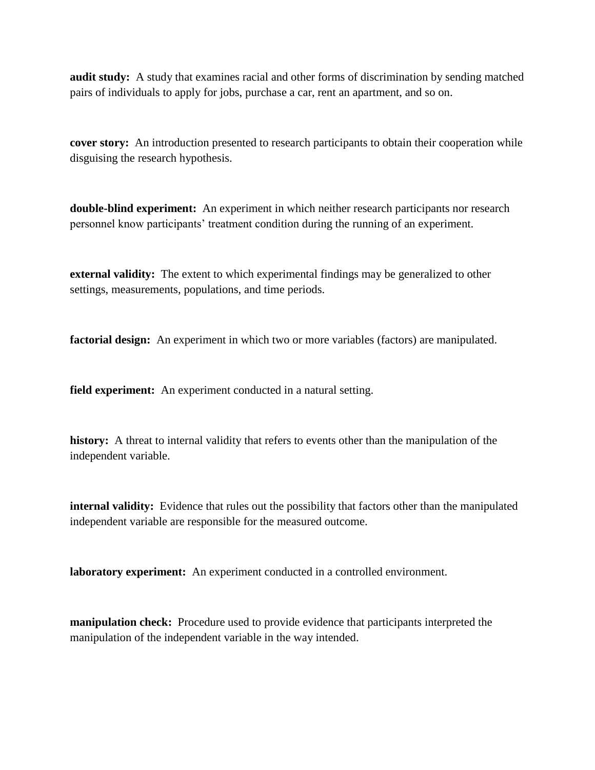**audit study:** A study that examines racial and other forms of discrimination by sending matched pairs of individuals to apply for jobs, purchase a car, rent an apartment, and so on.

**cover story:** An introduction presented to research participants to obtain their cooperation while disguising the research hypothesis.

**double-blind experiment:** An experiment in which neither research participants nor research personnel know participants' treatment condition during the running of an experiment.

**external validity:** The extent to which experimental findings may be generalized to other settings, measurements, populations, and time periods.

**factorial design:** An experiment in which two or more variables (factors) are manipulated.

**field experiment:** An experiment conducted in a natural setting.

**history:** A threat to internal validity that refers to events other than the manipulation of the independent variable.

**internal validity:** Evidence that rules out the possibility that factors other than the manipulated independent variable are responsible for the measured outcome.

**laboratory experiment:** An experiment conducted in a controlled environment.

**manipulation check:** Procedure used to provide evidence that participants interpreted the manipulation of the independent variable in the way intended.